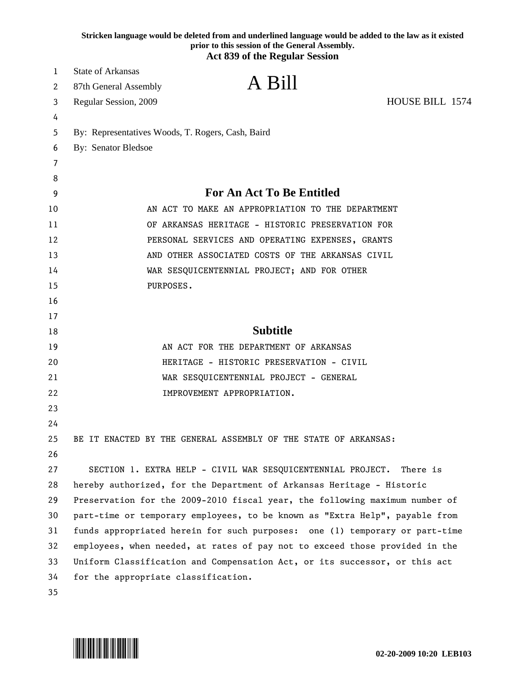|    | Stricken language would be deleted from and underlined language would be added to the law as it existed<br>prior to this session of the General Assembly.<br><b>Act 839 of the Regular Session</b> |
|----|----------------------------------------------------------------------------------------------------------------------------------------------------------------------------------------------------|
| 1  | <b>State of Arkansas</b>                                                                                                                                                                           |
| 2  | A Bill<br>87th General Assembly                                                                                                                                                                    |
| 3  | HOUSE BILL 1574<br>Regular Session, 2009                                                                                                                                                           |
| 4  |                                                                                                                                                                                                    |
| 5  | By: Representatives Woods, T. Rogers, Cash, Baird                                                                                                                                                  |
| 6  | By: Senator Bledsoe                                                                                                                                                                                |
| 7  |                                                                                                                                                                                                    |
| 8  |                                                                                                                                                                                                    |
| 9  | <b>For An Act To Be Entitled</b>                                                                                                                                                                   |
| 10 | AN ACT TO MAKE AN APPROPRIATION TO THE DEPARTMENT                                                                                                                                                  |
| 11 | OF ARKANSAS HERITAGE - HISTORIC PRESERVATION FOR                                                                                                                                                   |
| 12 | PERSONAL SERVICES AND OPERATING EXPENSES, GRANTS                                                                                                                                                   |
| 13 | AND OTHER ASSOCIATED COSTS OF THE ARKANSAS CIVIL                                                                                                                                                   |
| 14 | WAR SESQUICENTENNIAL PROJECT; AND FOR OTHER                                                                                                                                                        |
| 15 | PURPOSES.                                                                                                                                                                                          |
| 16 |                                                                                                                                                                                                    |
| 17 |                                                                                                                                                                                                    |
| 18 | <b>Subtitle</b>                                                                                                                                                                                    |
| 19 | AN ACT FOR THE DEPARTMENT OF ARKANSAS                                                                                                                                                              |
| 20 | HERITAGE - HISTORIC PRESERVATION - CIVIL                                                                                                                                                           |
| 21 | WAR SESQUICENTENNIAL PROJECT - GENERAL                                                                                                                                                             |
| 22 | IMPROVEMENT APPROPRIATION.                                                                                                                                                                         |
| 23 |                                                                                                                                                                                                    |
| 24 |                                                                                                                                                                                                    |
| 25 | BE IT ENACTED BY THE GENERAL ASSEMBLY OF THE STATE OF ARKANSAS:                                                                                                                                    |
| 26 |                                                                                                                                                                                                    |
| 27 | SECTION 1. EXTRA HELP - CIVIL WAR SESQUICENTENNIAL PROJECT.<br>There is                                                                                                                            |
| 28 | hereby authorized, for the Department of Arkansas Heritage - Historic                                                                                                                              |
| 29 | Preservation for the 2009-2010 fiscal year, the following maximum number of                                                                                                                        |
| 30 | part-time or temporary employees, to be known as "Extra Help", payable from                                                                                                                        |
| 31 | funds appropriated herein for such purposes: one (1) temporary or part-time                                                                                                                        |
| 32 | employees, when needed, at rates of pay not to exceed those provided in the                                                                                                                        |
| 33 | Uniform Classification and Compensation Act, or its successor, or this act                                                                                                                         |
| 34 | for the appropriate classification.                                                                                                                                                                |
| 35 |                                                                                                                                                                                                    |

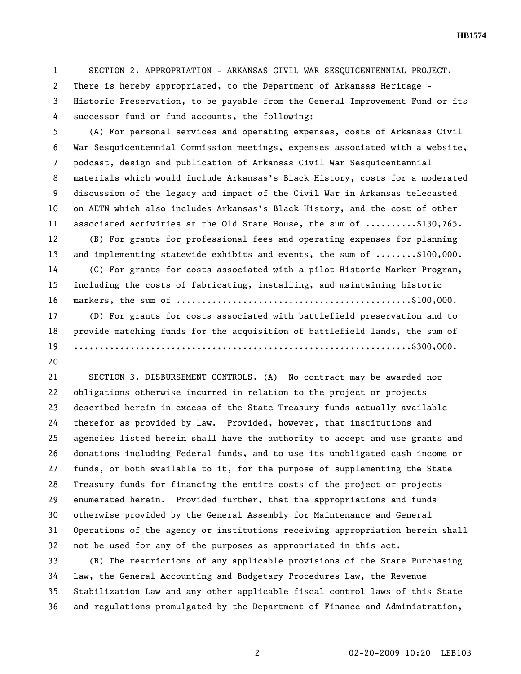**HB1574** 

1 SECTION 2. APPROPRIATION - ARKANSAS CIVIL WAR SESQUICENTENNIAL PROJECT. 2 There is hereby appropriated, to the Department of Arkansas Heritage - 3 Historic Preservation, to be payable from the General Improvement Fund or its 4 successor fund or fund accounts, the following:

5 (A) For personal services and operating expenses, costs of Arkansas Civil 6 War Sesquicentennial Commission meetings, expenses associated with a website, 7 podcast, design and publication of Arkansas Civil War Sesquicentennial 8 materials which would include Arkansas's Black History, costs for a moderated 9 discussion of the legacy and impact of the Civil War in Arkansas telecasted 10 on AETN which also includes Arkansas's Black History, and the cost of other 11 associated activities at the Old State House, the sum of ..........\$130,765. 12 (B) For grants for professional fees and operating expenses for planning 13 and implementing statewide exhibits and events, the sum of ........\$100,000. 14 (C) For grants for costs associated with a pilot Historic Marker Program, 15 including the costs of fabricating, installing, and maintaining historic 16 markers, the sum of  $\dots\dots\dots\dots\dots\dots\dots\dots\dots\dots\dots\dots\dots\dots\dots\dots\dots$ 17 (D) For grants for costs associated with battlefield preservation and to 18 provide matching funds for the acquisition of battlefield lands, the sum of 19 ..................................................................\$300,000.

20

21 SECTION 3. DISBURSEMENT CONTROLS. (A) No contract may be awarded nor 22 obligations otherwise incurred in relation to the project or projects 23 described herein in excess of the State Treasury funds actually available 24 therefor as provided by law. Provided, however, that institutions and 25 agencies listed herein shall have the authority to accept and use grants and 26 donations including Federal funds, and to use its unobligated cash income or 27 funds, or both available to it, for the purpose of supplementing the State 28 Treasury funds for financing the entire costs of the project or projects 29 enumerated herein. Provided further, that the appropriations and funds 30 otherwise provided by the General Assembly for Maintenance and General 31 Operations of the agency or institutions receiving appropriation herein shall 32 not be used for any of the purposes as appropriated in this act.

33 (B) The restrictions of any applicable provisions of the State Purchasing 34 Law, the General Accounting and Budgetary Procedures Law, the Revenue 35 Stabilization Law and any other applicable fiscal control laws of this State 36 and regulations promulgated by the Department of Finance and Administration,